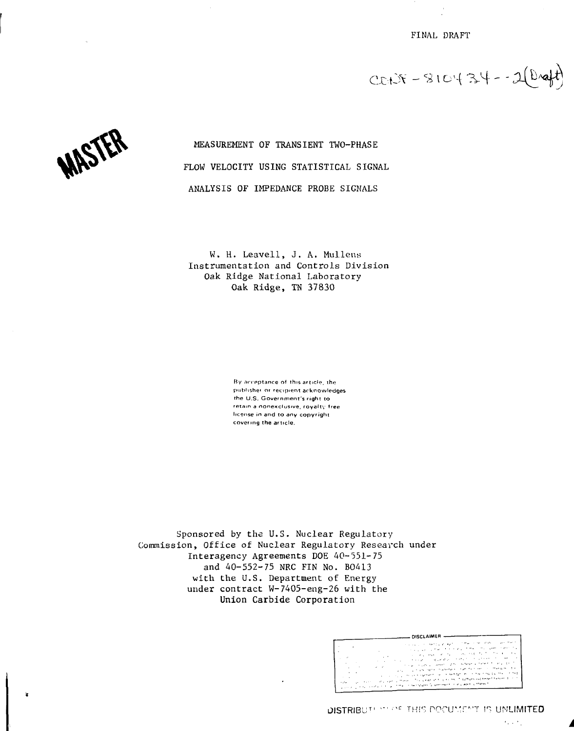FINAL DRAFT

 $CCHX - S10434 - 2(D4)$ 



MEASUREMENT OF TRANSIENT TWO-PHASE FLOW VELOCITY USING STATISTICAL SIGNAL ANALYSIS OF IMPEDANCE PROBE SIGNALS

W. H. Leavell, J. A. Mullens Instrumentation and Controls Division Oak Ridge National Laboratory Oak Ridge, TN 37830

> By acceptance of this article, the publisher or recipient acknowledges the U.S. Government's right to retain a nonexclusive, royalty free license in and to any copyright covering the article.

Sponsored by the U.S. Nuclear Regulatory Commission, Office of Nuclear Regulatory Research under Interagency Agreements DOE 40-551-75 and 40-552-75 NRC FIN No. BO413 with the U.S. Department of Energy under contract W-7405-eng-26 with the Union Carbide Corporation

| DISCLAIMER -                                                              |                                                                                                                                                                                                                                                                                                                                                                                                                                                                                                                                                                                                                                                                                                               |  |
|---------------------------------------------------------------------------|---------------------------------------------------------------------------------------------------------------------------------------------------------------------------------------------------------------------------------------------------------------------------------------------------------------------------------------------------------------------------------------------------------------------------------------------------------------------------------------------------------------------------------------------------------------------------------------------------------------------------------------------------------------------------------------------------------------|--|
| $\sim$<br>. .<br>$\sim$ $\sim$<br>- 6<br>٠.<br>$\cdots$<br>49.99<br>1.274 | stationary conservation and contribution of the station and a<br>state and state of a state of the completed of the first<br>an anglossystem of the construction of the first of<br>$\cdot$ .<br><b>Sept</b><br>A single compared with the first contract of the<br>and provided a context of the instance of theme in the part of<br>$\cdots$<br>the company support the second section of the company of the section of<br>$\cdots$<br>the product and support the content detection of the state and the content<br>the company of the company of the prints of the fact that the second function of the company<br>كالمطعم ومعقي والمالح المستطيع وكالمطووح فسجاج التواطيح والجالي متحدث يرقاني الانتجابي |  |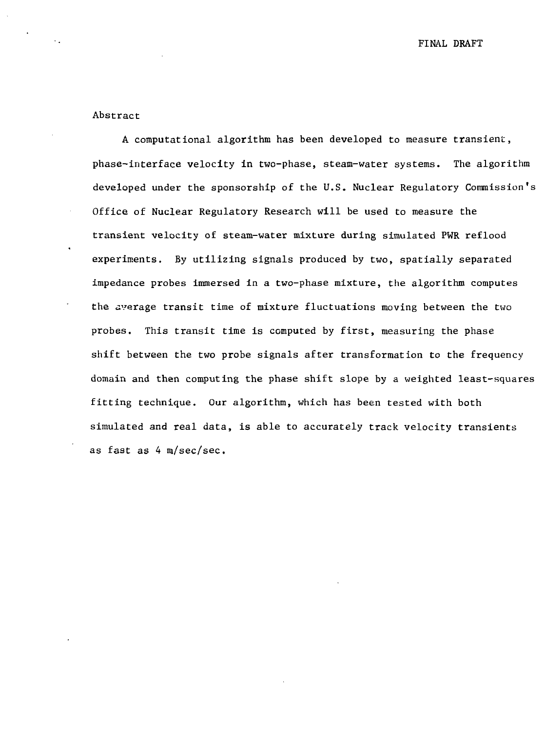FINAL DRAFT

### Abstract

A computational algorithm has been developed to measure transient, phase-interface velocity in two-phase, steam-water systems. The algorithm developed under the sponsorship of the U.S. Nuclear Regulatory Commission's Office of Nuclear Regulatory Research will be used to measure the transient velocity of steam-water mixture during simulated PWR reflood experiments. By utilizing signals produced by two, spatially separated impedance probes immersed in a two-phase mixture, the algorithm computes the average transit time of mixture fluctuations moving between the two probes. This transit time is computed by first, measuring the phase shift between the two probe signals after transformation to the frequency domain and then computing the phase shift slope by a weighted least-squares fitting technique. Our algorithm, which has been tested with both simulated and real data, is able to accurately track velocity transients as fast as 4 m/sec/sec.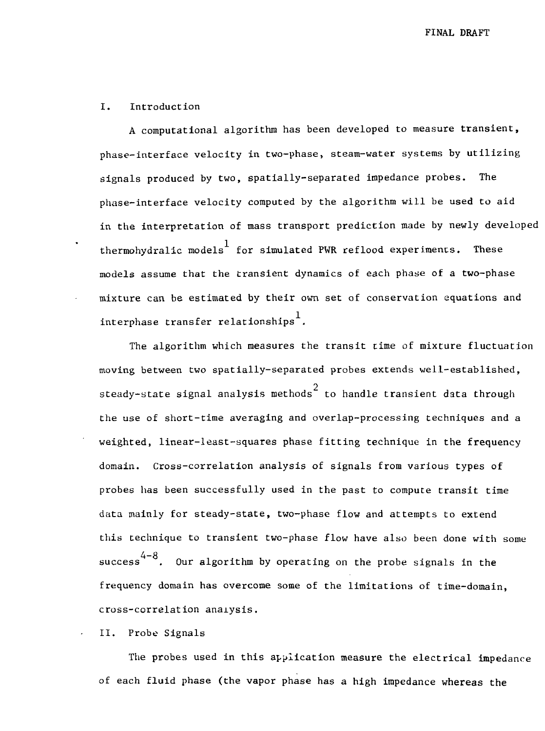#### I. Introduction

A computational algorithm has been developed to measure transient, phase-interface velocity in two-phase, steam-water systems by utilizing signals produced by two, spatially-separated impedance probes. The phase-interface velocity computed by the algorithm will be used to aid in the interpretation of mass transport prediction made by newly developed thermohydralic models for simulated PWR reflood experiments. These models assume that the transient dynamics of each phase of a two-phase mixture can be estimated by their own set of conservation equations and interphase transfer relationships<sup>1</sup>.

The algorithm which measures the transit time of mixture fluctuation moving between two spatially-separated probes extends well-established, steady-state signal analysis methods $^2$  to handle transient data through the use of short-time averaging and overlap-processing techniques and a weighted, linear-least-squares phase fitting technique in the frequency domain. Cross-correlation analysis of signals from various types of probes has been successfully used in the past to compute transit time data mainly for steady-state, two-phase flow and attempts to extend this technique to transient two-phase flow have also been done with some success<sup>4-8</sup>. Our algorithm by operating on the probe signals in the frequency domain has overcome some of the limitations of time-domain, cross-correlation analysis.

#### II. Probe Signals

The probes used in this application measure the electrical impedance of each fluid phase (the vapor phase has a high impedance whereas the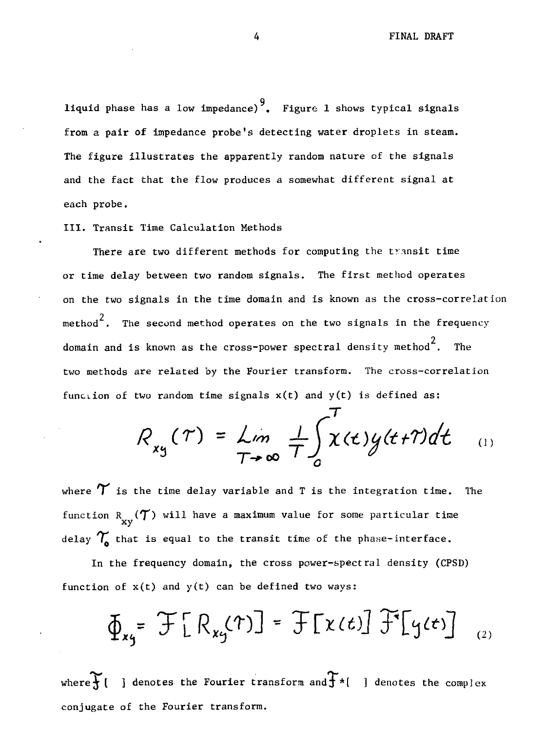9 liquid phase has a low impedance) . Figure 1 shows typical signals from a pair of impedance probe's detecting water droplets in steam. The figure illustrates the apparently random nature of the signals and the fact that the flow produces a somewhat different signal at each probe.

III. Transit Time Calculation Methods

There are two different methods for computing the transit time or time delay between two random signals. The first method operates on the two signals in the time domain and is known as the cross-correlation method $\overline{2}$ . The second method operates on the two signals in the frequency domain and is known as the cross-power spectral density method $^{\text{2}}.$  The two methods are related by the Fourier transform. The cross-correlation function of two random time signals  $x(t)$  and  $y(t)$  is defined as:

$$
R_{xy}(\tau) = \lim_{T \to \infty} \frac{1}{T} \int_{0}^{T} \chi(t) y(t + \tau) dt \qquad (1)
$$

7

where  $\gamma$  is the time delay variable and T is the integration time. The function  $\operatorname*{R}_{\mathbf{x} \mathbf{y}}(\boldsymbol{\mathcal{T}})$  will have a maximum value for some particular time delay  $\gamma$  that is equal to the transit time of the phase-interface.

In the frequency domain, the cross power-spectral density (CPSD) function of  $x(t)$  and  $y(t)$  can be defined two ways:

$$
\Phi_{xy} = \mathcal{F}[R_{xy}(\tau)] = \mathcal{F}[x(t)] \mathcal{F}[y(t)]_{(2)}
$$

where $\mathcal{F}[$  ] denotes the Fourier transform and  $\mathcal{F}$ \*[ ] denotes the complex conjugate of the Fourier transform.

4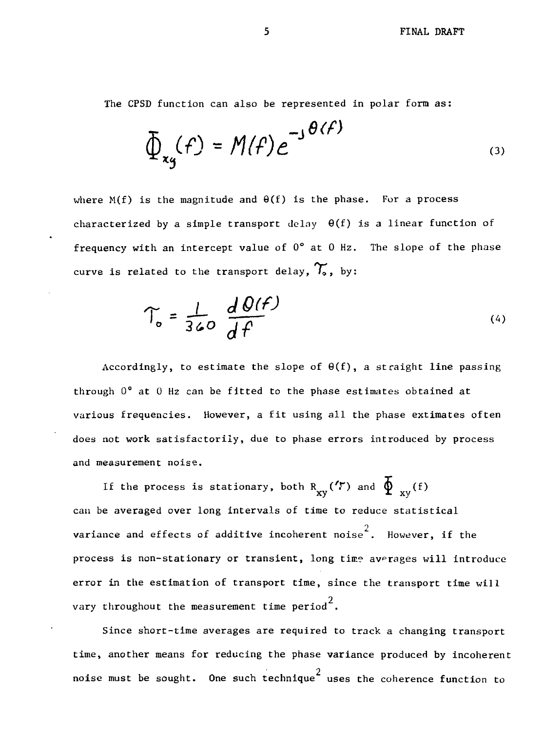The CPSD function can also be represented in polar form as:

$$
\Phi_{xy}(f) = M(f)e^{-J\theta(f)}
$$
\n(3)

where  $M(f)$  is the magnitude and  $\Theta(f)$  is the phase. For a process characterized by a simple transport delay  $\theta(f)$  is a linear function of frequency with an intercept value of  $0^{\circ}$  at 0 Hz. The slope of the phase curve is related to the transport delay,  $\mathcal{T}_{\bullet}$ , by:

$$
\Upsilon_o = \frac{1}{360} \frac{d\theta(f)}{df}
$$
 (4)

Accordingly, to estimate the slope of  $\theta(f)$ , a straight line passing through 0° at 0 Hz can be fitted to the phase estimates obtained at various frequencies. However, a fit using all the phase extimates often does not work satisfactorily, due to phase errors introduced by process and measurement noise.

If the process is stationary, both R<sub>xv</sub>( $\overline{Y}$ ) and  $\overline{\Phi}_{xy}(f)$  $\mathbf{x}$ y  $\mathbf{x}$ y  $\mathbf{x}$ y  $\mathbf{x}$ variance and effects of additive incoherent noise<sup>2</sup>. However, if the process is non-stationary or transient, long time averages will introduce process is non-stationary or transient, long time averages will introduce  $\overline{\phantom{a}}$ vary throughout the measurement time  $period<sup>2</sup>$ .

Since short-time averages are required to track a changing transport time, another means for reducing the phase variance produced by incoherent noise must be sought. One such technique $^2$  uses the coherence function to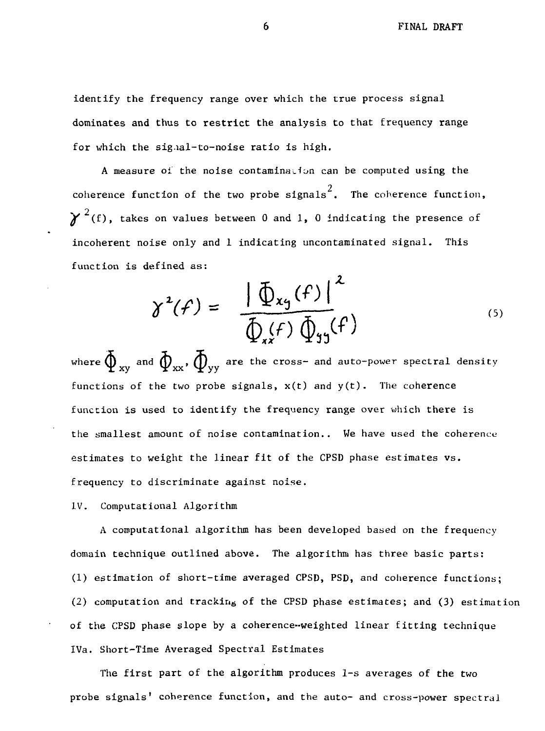identify the frequency range over which the true process signal dominates and thus to restrict the analysis to that frequency range for which the signal-to-noise ratio is high.

A measure of the noise contamination can be computed using the coherence function of the two probe signals<sup>2</sup>. The coherence function,  $\chi^{2}$ (f), takes on values between 0 and 1, 0 indicating the presence of incoherent noise only and 1 indicating uncontaminated signal. This function is defined as:

$$
\gamma^{2}(f) = \frac{\left| \oint_{x} f(f) \right|^{2}}{\oint_{x} f(\phi)} \hat{\psi}_{y}(\phi)
$$
 (5)

where  $\tilde{\Phi}_{\rm xv}$  and  $\tilde{\Phi}_{\rm xx}$ ,  $\tilde{\Phi}_{\rm vx}$  are the cross- and auto-power spectral density functions of the two probe signals,  $x(t)$  and  $y(t)$ . The coherence function is used to identify the frequency range over which there is the smallest amount of noise contamination.. We have used the coherence estimates to weight the linear fit of the CPSD phase estimates vs. frequency to discriminate against noise.

IV. Computational Algorithm

A computational algorithm has been developed based on the frequency domain technique outlined above. The algorithm has three basic parts: (1) estimation of short-time averaged CPSD, PSD, and coherence functions; (2) computation and tracking of the CPSD phase estimates; and (3) estimation of the CPSD phase slope by a coherence-weighted linear fitting technique IVa. Short-Time Averaged Spectral Estimates

The first part of the algorithm produces 1-s averages of the two probe signals' coherence function, and the auto- and cross-power spectral

6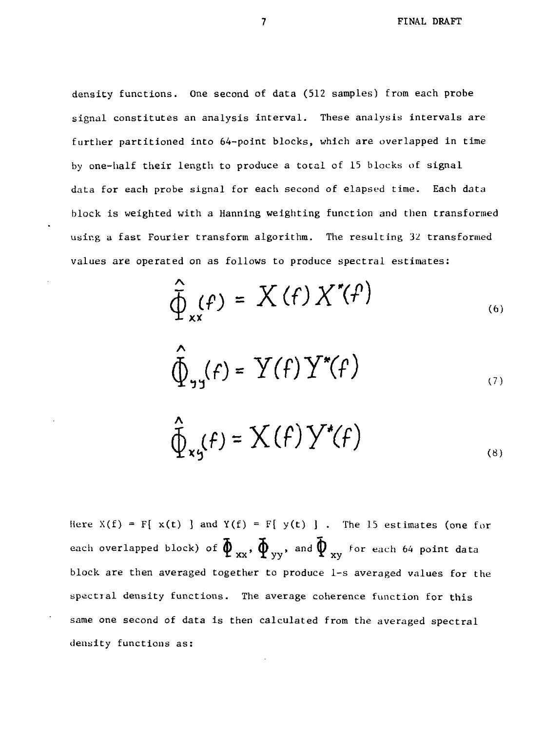density functions. One second of data (512 samples) from each probe signal constitutes an analysis interval. These analysis intervals are further partitioned into 64-point blocks, which are overlapped in time by one-half their length to produce a tocal of 15 blocks of signal data for each probe signal for each second of elapsed time. Each data block is weighted with a Hanning weighting function and then transformed using a fast Fourier transform algorithm. The resulting 32 transformed values are operated on as follows to produce spectral estimates:

$$
\widehat{\Phi}_{xx}(f) = X(f) X'(f)
$$
\n
$$
\widehat{\Phi}_{xx}(f) = X(f) X'(f)
$$
\n(6)

$$
\oint_{\gamma_1} f = Y(f) Y^*(f)
$$

$$
\widehat{\Phi}_{\kappa\varsigma}(f) = \mathbf{X}(f) \, \mathbf{Y}^*(f) \tag{8}
$$

Here  $X(f) = F[x(t)]$  and  $Y(f) = F[y(t)]$ . The 15 estimates (one for each overlapped block) of  $\tilde{\phi}_{xx}$ ,  $\tilde{\phi}_{yy}$ , and  $\tilde{\phi}_{xy}$  for each 64 point data block are then averaged together to produce 1-s averaged values for the spectral density functions. The average coherence function for this same one second of data is then calculated from the averaged spectral density functions as:

 $\overline{7}$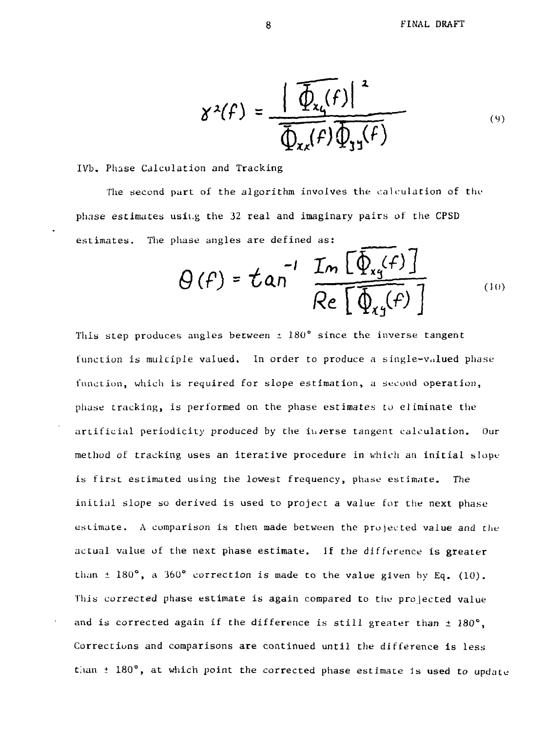$$
\gamma^2(f) = \frac{\left|\widehat{\Phi_{x_4}(f)}\right|^2}{\widehat{\Phi_{x_4}(f)}\widehat{\Phi_{y_1}(f)}}\tag{9}
$$

IVb. Phase Calculation and Tracking

The second part of the algorithm involves the calculation of the phase estimates usii.g the 32 real and imaginary pairs of the CPSD estimates. The phase angles are defined as:

$$
\Theta(f) = \tan^{-1} \frac{\text{Im} \left[ \Phi_{xy}(f) \right]}{\text{Re} \left[ \Phi_{xy}(f) \right]}
$$
 (10)

This step produces angles between  $\pm$  180° since the inverse tangent function is multiple valued. In order to produce a single-valued phase function, which is required for slope estimation, a second operation, phase tracking, is performed on the phase estimates to eliminate the artificial periodicity produced by the iu/erse tangent calculation. Our method of tracking uses an iterative procedure in which an initial slope is first estimated using the lowest frequency, phase estimate. The initial slope so derived is used to project a value for the next phase estimate. A comparison is then made between the projected value and the actual value of the next phase estimate. If the difference is greater than  $\pm$  180°, a 360° correction is made to the value given by Eq. (10). This corrected phase estimate is again compared to the projected value and is corrected again if the difference is still greater than  $\pm$  180°, Corrections and comparisons are continued until the difference is less than  $\pm$  180°, at which point the corrected phase estimate is used to update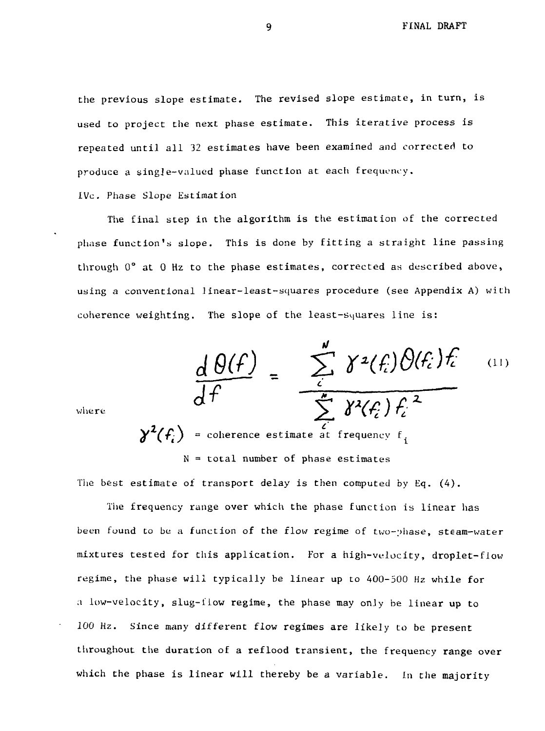the previous slope estimate. The revised slope estimate, in turn, is used to project the next phase estimate. This iterative process is repeated until all 32 estimates have been examined and corrected to produce a sing]e-valued phase function at each frequency.

IVc. Phase Slope Estimation

The final step in the algorithm is the estimation of the corrected phase function's slope. This is done by fitting a straight line passing through 0° at 0 Hz to the phase estimates, corrected as described above, using a conventional linear-least-squares procedure (see Appendix A) with coherence weighting. The slope of the least-squares line is:

$$
\frac{d\theta(f)}{df} = \frac{\sum_{i}^{u} \gamma^{2}(f_{i})\theta(f_{i})f_{i}}{\sum_{i}^{u} \gamma^{2}(f_{i})f_{i}^{2}}
$$
 (11)

where

 $\chi^2(f)$  = coherence estimate at frequency f.  $N =$  total number of phase estimates

The best estimate of transport delay is then computed by Eq.  $(4)$ .

The frequency range over which the phase function is linear has been found to be a function of the flow regime of two- $\nu$ hase, steam-water mixtures tested for this application. For a high-velocity, droplet-flow regime, the phase will typically be linear up to 400-500 Hz while for a low-velocity, slug-flow regime, the phase may only be linear up to 100 Hz. Since many different flow regimes are likely to be present throughout the duration of a reflood transient, the frequency range over which the phase is linear will thereby be a variable. In the majority

9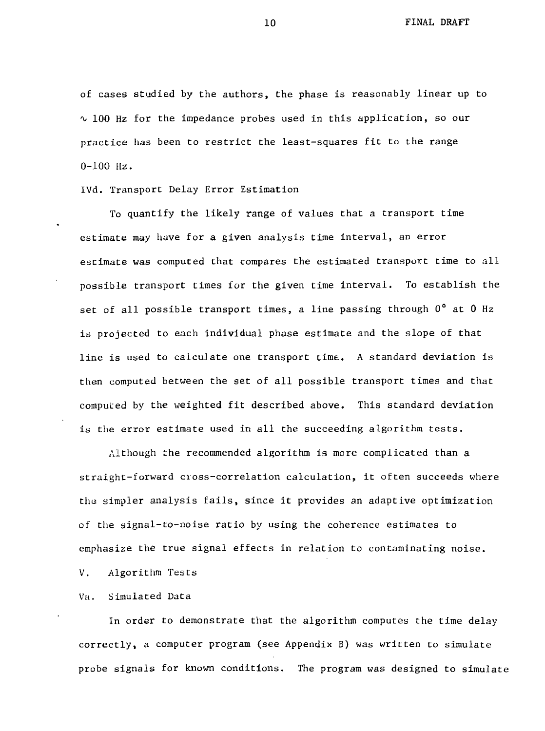of cases studied by the authors, the phase is reasonably linear up to  $\sim$  100 Hz for the impedance probes used in this application, so our practice has been to restrict the least-squares fit to the range 0-100 Hz.

IVd. Transport Delay Error Estimation

To quantify the likely range of values that a transport time estimate may have for a given analysis time interval, an error estimate was computed that compares the estimated transport time to all possible transport times for the given time interval. To establish the set of all possible transport times, a line passing through 0° at 0 Hz is projected to each individual phase estimate and the slope of that line is used to calculate one transport time. A standard deviation is then computed between the set of all possible transport times and that computed by the weighted fit described above. This standard deviation is the error estimate used in all the succeeding algorithm tests.

Although the recommended algorithm is more complicated than a straight-forward cross-correlation calculation, it often succeeds where thu simpler analysis fails, since it provides an adaptive optimization of the signal-to-noise ratio by using the coherence estimates to emphasize the true signal effects in relation to contaminating noise.

V. Algorithm Tests

Va. Simulated Data

In order to demonstrate that the algorithm computes the time delay correctly, a computer program (see Appendix B) was written to simulate probe signals for known conditions. The program was designed to simulate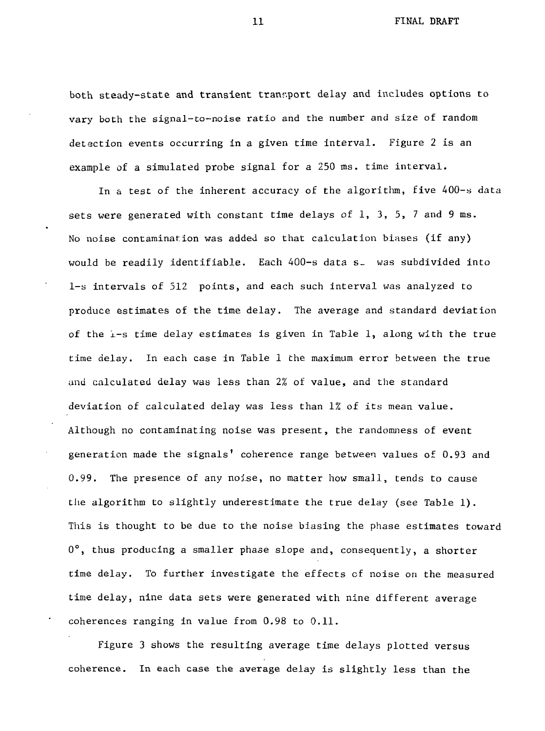both steady-state and transient transport delay and includes options to vary both the signal-to-noise ratio and the number and size of random detection events occurring in a given time interval. Figure 2 is an example of a simulated probe signal for a 250 ms. time interval.

In a test of the inherent accuracy of the algorithm, five 400-s data sets were generated with constant time delays of  $1$ ,  $3$ ,  $5$ ,  $7$  and  $9$  ms. No noise contamination was added so that calculation biases (if any) would be readily identifiable. Each 400-s data s<sub>r</sub> was subdivided into 1-s intervals of 512 points, and each such interval was analyzed to produce estimates of the time delay. The average and standard deviation of the i-s time delay estimates is given in Table 1, along with the true time delay. In each case in Table 1 the maximum error between the true and calculated delay was less than 2% of value, and the standard deviation of calculated delay was less than 1% of its mean value. Although no contaminating noise was present, the randomness of event generation made the signals' coherence range between values of 0.93 and 0.99. The presence of any noise, no matter how small, tends to cause the algorithm to slightly underestimate the true delay (see Table 1). This is thought to be due to the noise biasing the phase estimates toward 0°, thus producing a smaller phase slope and, consequently, a shorter time delay. To further investigate the effects of noise on the measured time delay, nine data sets were generated with nine different average coherences ranging in value from 0.98 to 0.11.

Figure 3 shows the resulting average time delays plotted versus coherence. In each case the average delay is slightly less than the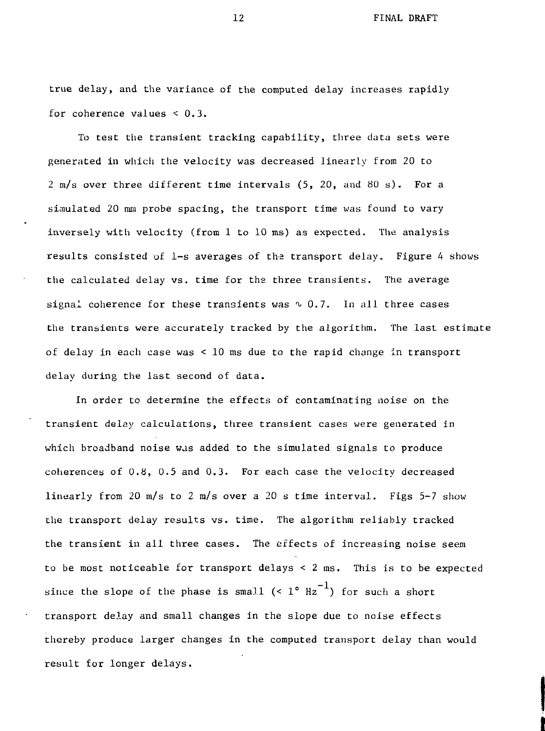true delay, and the variance of the computed delay increases rapidly for coherence values  $< 0.3$ .

To test the transient tracking capability, three data sets were generated in which the velocity was decreased linearly from 20 to 2 m/s over three different time intervals (5, 20, and 80 s). For a simulated 20 mm probe spacing, the transport time was found to vary inversely with velocity (from 1 to 10 ms) as expected. The analysis results consisted of  $l-s$  averages of the transport delay. Figure 4 shows the calculated delay vs. time for the three transients. The average signal coherence for these transients was  $\sim 0.7$ . In all three cases the transients were accurately tracked by the algorithm. The last estimate of delay in each case was < 10 ms due to the rapid change in transport delay during the last second of data.

In order to determine the effects of contaminating noise on the transient delay calculations, three transient cases were generated in which broadband noise was added to the simulated signals to produce coherences of 0.8, 0.5 and 0.3. For each case the velocity decreased linearly from 20 m/s to 2 m/s over a 20 s time interval. Figs 5-7 show the transport delay results vs. time. The algorithm reliably tracked the transient in all three cases. The effects of increasing noise seem to be most noticeable for transport delays < 2 ms. This is to be expected since the slope of the phase is small  $($   $\cdot$   $1^{\circ}$   $\text{Hz}^{-1}$ ) for such a short transport delay and small changes in the slope due to noise effects thereby produce larger changes in the computed transport delay than would result for longer delays.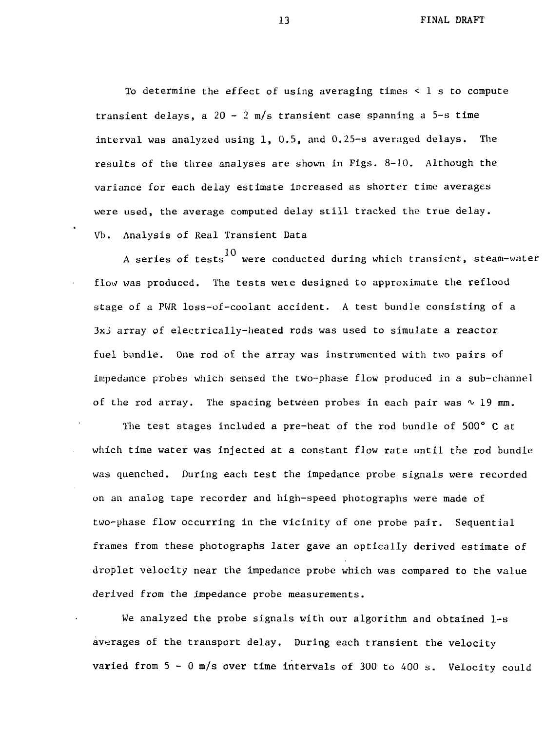To determine the effect of using averaging times  $\leq 1$  s to compute transient delays, a  $20 - 2$  m/s transient case spanning a  $5 - s$  time interval was analyzed using 1, 0.5, and 0.25-s averaged delays. The results of the three analyses are shown in Figs. 8-10. Although the variance for each delay estimate increased as shorter time averages were used, the average computed delay still tracked the true delay. Vh. Analysis of Real Transient Data

A series of tests were conducted during which transient, steam-water flow was produced. The tests were designed to approximate the reflood stage of a PWR loss-of-coolant accident. A test bundle consisting of a 3xj array of electrically-heated rods was used to simulate a reactor fuel bundle. One rod of the array was instrumented with two pairs of impedance probes which sensed the two-phase flow produced in a sub-channel of the rod array. The spacing between probes in each pair was  $\sim$  19 mm.

The test stages included a pre-heat of the rod bundle of 500° C at which time water was injected at a constant flow rate until the rod bundle was quenched. During each test the impedance probe signals were recorded on an analog tape recorder and high-speed photographs were made of two-phase flow occurring in the vicinity of one probe pair. Sequential frames from these photographs later gave an optically derived estimate of droplet velocity near the impedance probe which was compared to the value derived from the impedance probe measurements.

We analyzed the probe signals with our algorithm and obtained 1-s averages of the transport delay. During each transient the velocity varied from  $5 - 0$  m/s over time intervals of 300 to 400 s. Velocity could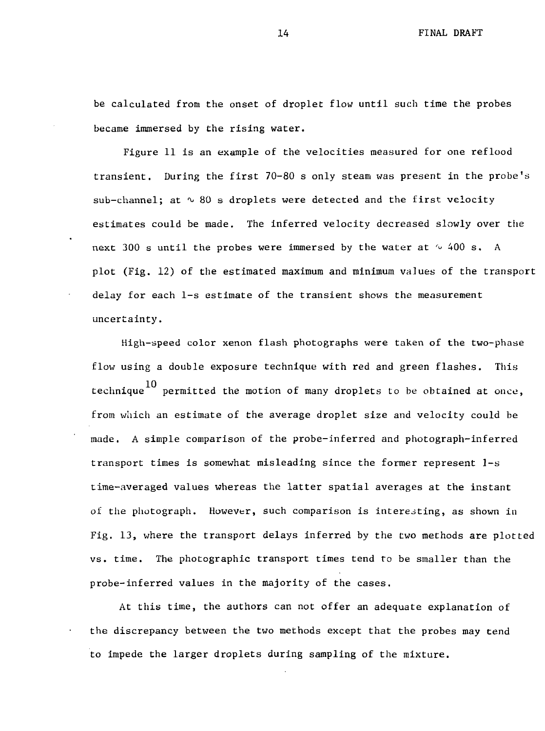be calculated from the onset of droplet flow until such time the probes became immersed by the rising water.

Figure 11 is an example of the velocities measured for one reflood transient. During the first 70-80 s only steam was present in the probe's sub-channel; at  $\sim$  80 s droplets were detected and the first velocity estimates could be made. The inferred velocity decreased slowly over the next 300 s until the probes were immersed by the water at  $\sim$  400 s. A plot (Fig. 12) of the estimated maximum and minimum values of the transport delay for each 1-s estimate of the transient shows the measurement uncertainty.

High-speed color xenon flash photographs were taken of the two-phase flow using a double exposure technique with red and green flashes. This technique<sup>10</sup> permitted the motion of many droplets to be obtained at once, from which an estimate of the average droplet size and velocity could be made. A simple comparison of the probe-inferred and photograph-inferred transport times is somewhat misleading since the former represent 1-s time-averaged values whereas the latter spatial averages at the instant of the photograph. However, such comparison is interesting, as shown in Fig. 13, where the transport delays inferred by the two methods are plotted vs. time. The photographic transport times tend to be smaller than the probe-inferred values in the majority of the cases.

At this time, the authors can not offer an adequate explanation of the discrepancy between the two methods except that the probes may tend to impede the larger droplets during sampling of the mixture.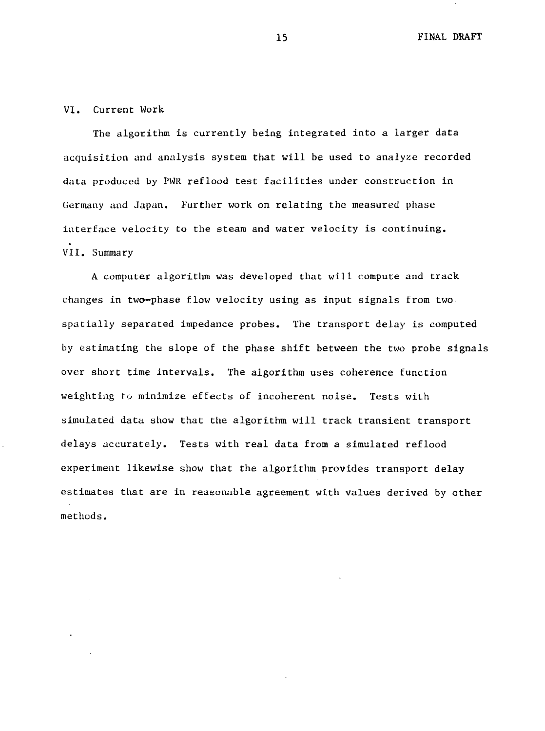### VI. Current Work

The algorithm is currently being integrated into a larger data acquisition and analysis system that will be used to analyze recorded data produced by PWR reflood test facilities under construction in Germany and Japan. Further work on relating the measured phase interface velocity to the steam and water velocity is continuing. VII. Summary

A computer algorithm was developed that will compute and track changes in two-phase flow velocity using as input signals from two spatially separated impedance probes. The transport delay is computed by estimating the slope of the phase shift between the two probe signals over short time intervals. The algorithm uses coherence function weighting to minimize effects of incoherent noise. Tests with simulated data show that the algorithm will track transient transport delays accurately. Tests with real data from a simulated reflood experiment likewise show that the algorithm provides transport delay estimates that are in reasonable agreement with values derived by other methods.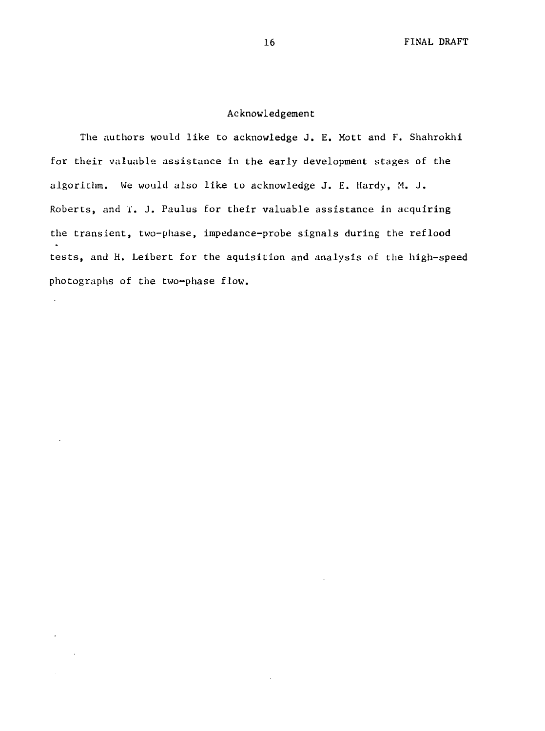### Acknowledgement

The authors would like to acknowledge J. E. Mott and F. Shahrokhi for their valuable assistance in the early development stages of the algorithm. We would also like to acknowledge J. E. Hardy, M. J. Roberts, and I. J. Paulus for their valuable assistance in acquiring the transient, two-phase, impedance-probe signals during the reflood tests, and H. Leibert for the aquisition and analysis of the high-speed photographs of the two-phase flow.

 $\ddot{\phantom{a}}$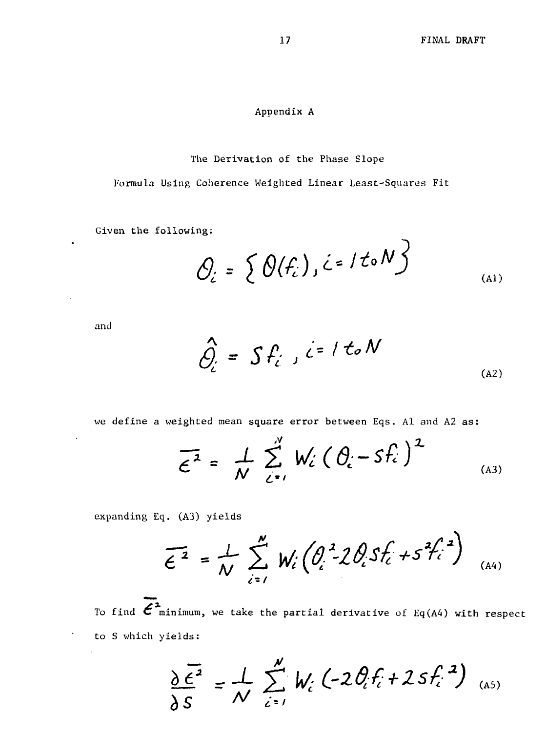Ñ.

### Appendix A

### The Derivation of the Phase Slope

Formula Using Coherence Weighted Linear Least-Squares Fit

Given the following:

$$
\mathcal{O}_{\mathcal{L}} = \left\{ \Theta(f_{\mathcal{L}}) , \mathcal{L} = I \mathcal{L} \circ N \right\}
$$
 (A1)

and

 $\bullet$ 

$$
\hat{Q}_{i} = S f_{i} , i = 1 \text{ to } N
$$
\n
$$
(A2)
$$

we define a weighted mean square error between Eqs. Al and A2 as:

$$
\overline{\epsilon}^2 = \frac{1}{N} \sum_{i=1}^{N} W_i (\theta_i - s f_i)^2
$$
 (A3)

expanding Eq. (A3) yields

$$
\overline{\epsilon^2} = \frac{1}{N} \sum_{i=1}^{N} W_i \left( \frac{\partial_i^2}{\partial_i^2} 2 \frac{\partial_i}{\partial f_i} 5 f_i^2 + 5^2 f_i^2 \right)_{(A4)}
$$

To find  $\vec{\epsilon}^2$  minimum, we take the partial derivative of Eq(A4) with respect to S which yields:

$$
\frac{\partial \overline{\epsilon^2}}{\partial S} = \frac{1}{N} \sum_{i=1}^{N} W_i \left( -2 \theta_i f_i + 2 S f_i^{2} \right)_{(AS)}
$$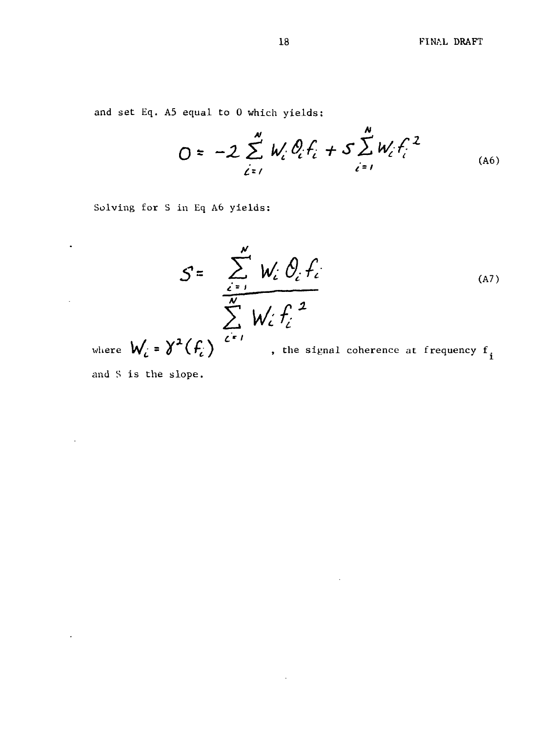and set Eq. A5 equal to 0 which yields:

$$
0 = -2 \sum_{i=1}^{N} W_i \partial_i f_i + S \sum_{i=1}^{N} W_i f_i^{2}
$$
 (A6)

Solving for S in Eq A6 yields:

$$
S = \frac{\sum_{i=1}^{N} W_i \cdot \theta_i f_i}{\sum_{i=1}^{N} W_i \cdot f_i^{2}}
$$
 (A7)

 $\hat{\mathbf{r}}$ 

 $\sim$ 

where  $\bigvee_i^\cdot = \bigvee^\cdot \big( \bigstar_i^\cdot \big)$  , the signal coherence at frequency f.

and S is the slope.

 $\bullet$ 

 $\mathcal{L}_{\mathcal{A}}$ 

 $\ddot{\phantom{a}}$ 

 $\Box$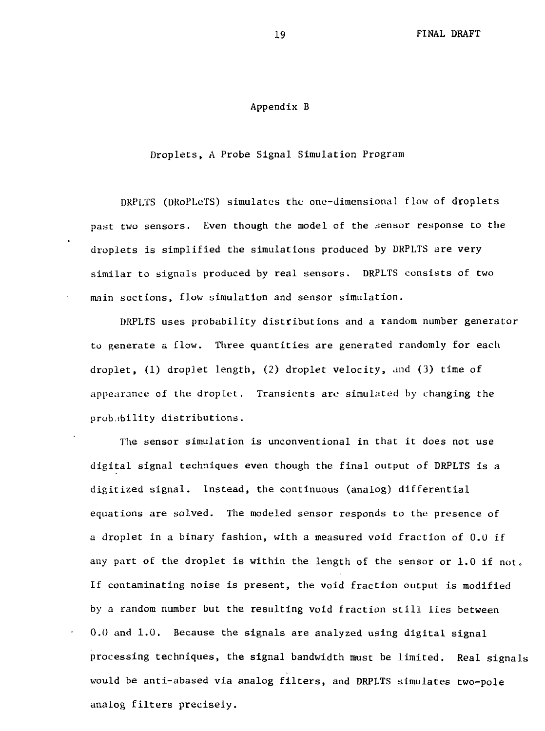#### Appendix B

Droplecs, A Probe Signal Simulation Program

DRPLTS (URoPLeTS) simulates the one-dimensional flow of droplets past two sensors. Even though the model of the sensor response to the droplets is simplified the simulations produced by DRPLTS are very similar to signals produced by real sensors. DRPLTS consists of two main sections, flow simulation and sensor simulation.

DRPLTS uses probability distributions and a random number generator to generate a flow. Three quantities are generated randomly for each droplet, (1) droplet length, (2) droplet velocity, and (3) time of appearance of the droplet. Transients are simulated by changing the probability distributions.

The sensor simulation is unconventional in that it does not use digital signal techniques even though the final output of DRPLTS is a digitized signal. Instead, the continuous (analog) differential equations are solved. The modeled sensor responds to the presence of a droplet in a binary fashion, with a measured void fraction of 0.0 if any part of the droplet is within the length of the sensor or 1.0 if not. If contaminating noise is present, the void fraction output is modified by a random number but the resulting void fraction still lies between 0,0 and 1.0. Because the signals are analyzed using digital signal processing techniques, the signal bandwidth must be limited. Real signals would be anti-abased via analog filters, and DRPLTS simulates two-pole analog filters precisely.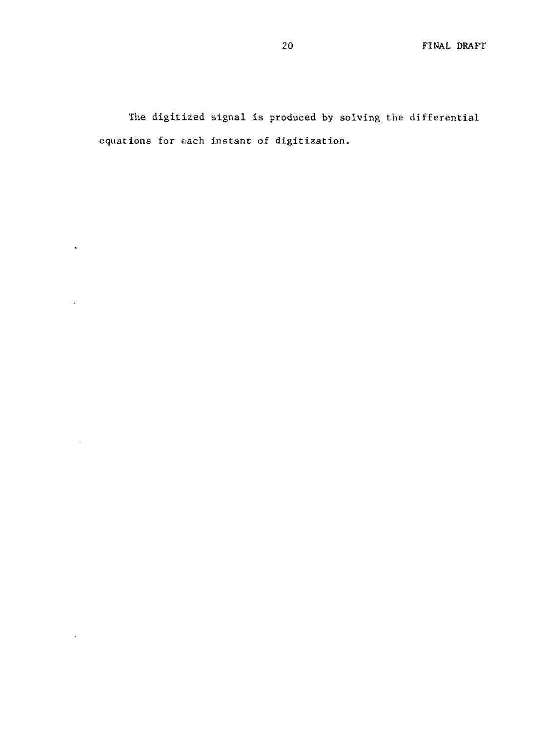The digitized signal is produced by solving the differential equations for each instant of digitization.

 $\mathcal{L}^{\text{max}}$ 

 $\mathcal{A}$ 

 $\sim$   $\sim$ 

 $\sim 10^{-11}$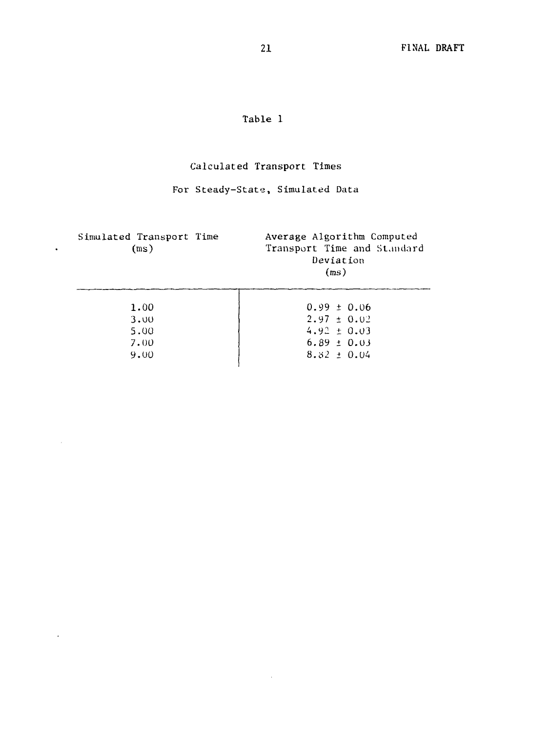# Table 1

# Calculated Transport Times

# For Steady-State, Simulated Data

| Simulated Transport Time<br>(m <sub>S</sub> ) | Average Algorithm Computed<br>Transport Time and Standard<br>Deviation<br>(ms) |
|-----------------------------------------------|--------------------------------------------------------------------------------|
| 1.00                                          | $0.99 \pm 0.06$                                                                |
| 3.00                                          | $2.97 \pm 0.02$                                                                |
| 5.00                                          | $4.92 \pm 0.03$                                                                |
| 7.00                                          | $6.89 \pm 0.03$                                                                |
| 9.00                                          | $8.32 \pm 0.04$                                                                |

 $\sim 10^{-11}$ 

 $\sim$ 

 $\sim$ 

 $\mathcal{L}^{\pm}$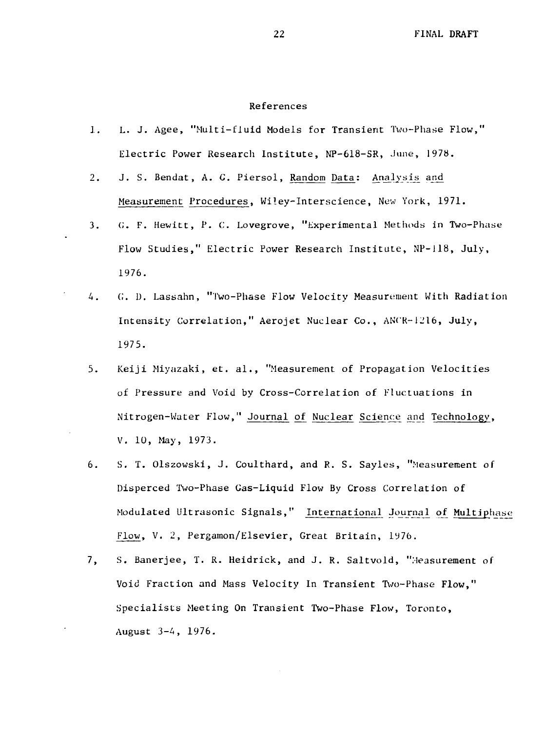#### References

- 1. L. J. Agee, "Multi-fluid Models for Transient Two-Phase Flow," Electric Power Research Institute, NP-618-SR, June, 1978.
- 2. J. S. Bendat, A. G. Piersol, Random Data: Analysis and Measurement Procedures, Wiley-Interscience, New York, 1971.
- 3. 0. F. Hewitt, P. C. Lovegrove, "Experimental Methods in Two-Phase Flow Studies," Electric Power Research Institute, NP-118, July, 1976.
- 4. C. D. Lassahn, "Two-Phase Flow Velocity Measurement With Radiation Intensity Correlation," Aerojet Nuclear Co., ANCR-1216, July, 1975.
- 5. Keiji Miyazaki, et. al., "Measurement of Propagation Velocities of Pressure and Void by Cross-Correlation of Fluctuations in Nitrogen-Water Flow," Journal of Nuclear Science and Technology, V. 10, May, 1973.
- 6. S. T. Olszowski, J. Coulthard, and R. S. Sayles, "Measurement of Disperced Two-Phase Gas-Liquid Flow By Cross Correlation of Modulated Ultrasonic Signals," International Journal^ of Multiphase Flow, V. 2, Pergamon/Elsevier, Great Britain, 1976.
- 7. S. Banerjee, T. R. Heidrick, and J. R. Saltvold, "Measurement of Void Fraction and Mass Velocity In Transient Two-Phase Flow," Specialists Meeting On Transient Two-Phase Flow, Toronto, August 3-4, 1976.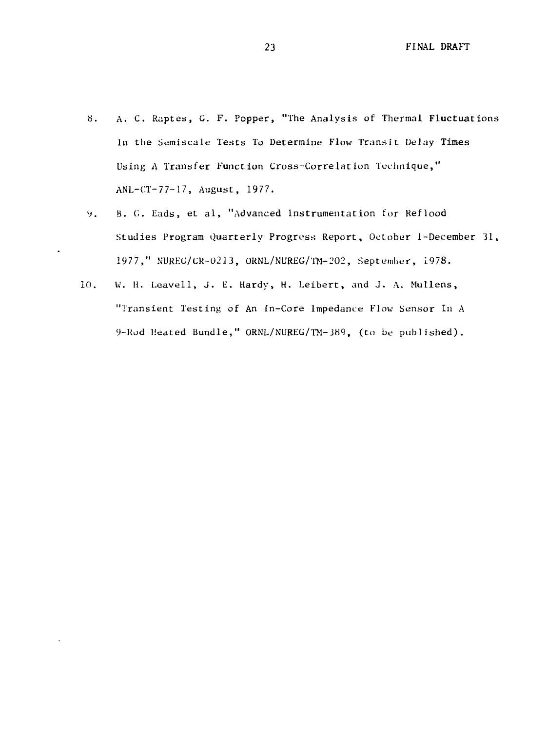- 8. A. C. Raptes, C. F. Popper, "The Analysis of Thermal Fluctuations In the Semiscale Tests To Determine Flow Transit DeJay Times Using A Transfer Function Cross-Correlation Technique," ANL-CT-77-17, August, 1977.
- 9. B. G. Eads, et al, "Advanced Instrumentation for Reflood Studies Program Quarterly Progress Report, October J-December 31, 1977," NUREC/CR-0213, ORNL/NUREC/TM-202, September, 1978.
- 10. W. H. Leavell, J. E. Hardy, H. Leibert, and J. A. Mullens, "Transient Testing of An In-Core Impedance Flow Sensor In A 9-Rod Heated Bundle," ORNL/NUREG/TM-389, (to be published).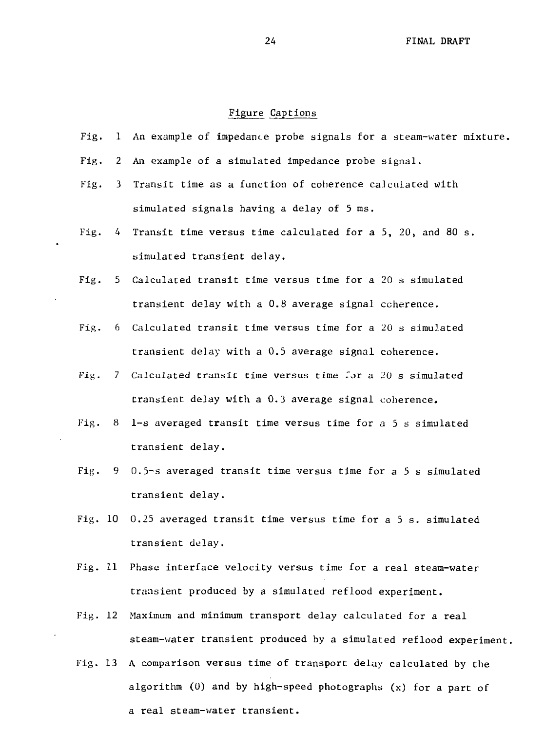#### Figure Captions

- Fig. 1 An example of impedance probe signals for a steam-water mixture.
- Fig. 2 An example of a simulated impedance probe signal.
- Fig. 3 Transit time as a function of coherence calculated with simulated signals having a delay of  $5$  ms.
- Fig. 4 Transit time versus time calculated for a 5, 20, and 80 s. simulated transient delay.
- Fig. 5 Calculated transit time versus time for a 20 s simulated transient delay with a 0.8 average signal coherence.
- Fig. 6 Calculated transit time versus time for a 20 s simulated transient delay with a 0.5 average signal coherence.
- Fig. 7 Calculated transit time versus time Tor a 20 s simulated transient delay with a 0.3 average signal coherence.
- Fig. 8 1-s averaged transit time versus time for a 5 s simulated transient delay.
- Fig. 9 0.5-s averaged transit time versus time for a 5 s simulated transient delay.
- Fig. 10 0.25 averaged transit time versus time for a 5 s. simulated transient delay.
- Fig. 11 Phase interface velocity versus time for a real steam-water transient produced by a simulated reflood experiment.
- Fig. 12 Maximum and minimum transport delay calculated for a real steam-water transient produced by a simulated reflood experiment.
- Fig. 13 A comparison versus time of transport delay calculated by the algorithm (0) and by high-speed photographs (x) for a part of a real steam-water transient.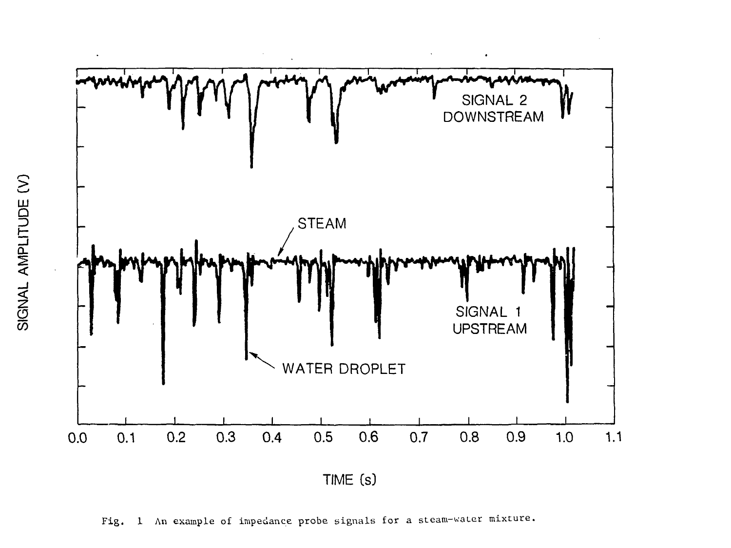

Fig. 1 An example of impedance probe signals for a steam-water mixture.

LU ጋ<br>መ ZJ ⋛ <u>.</u> <u>្</u>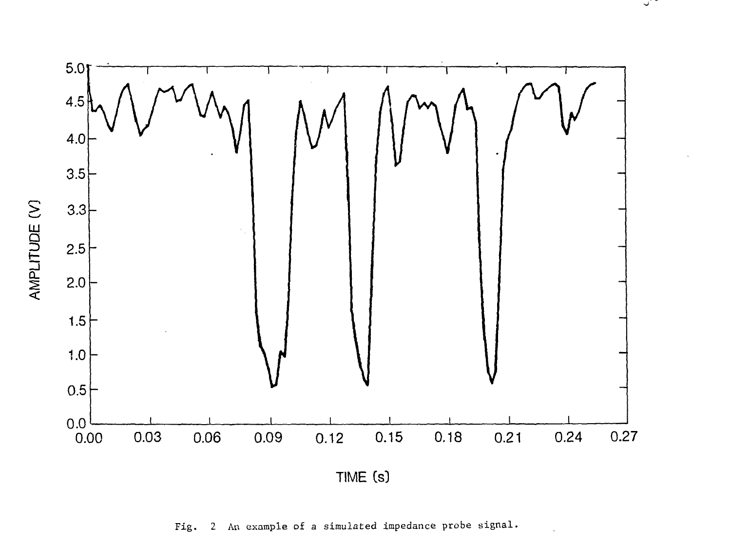

 $\cup$   $\cup$ 

Fig. 2 An example of a simulated impedance probe signal.

**< /** $101E$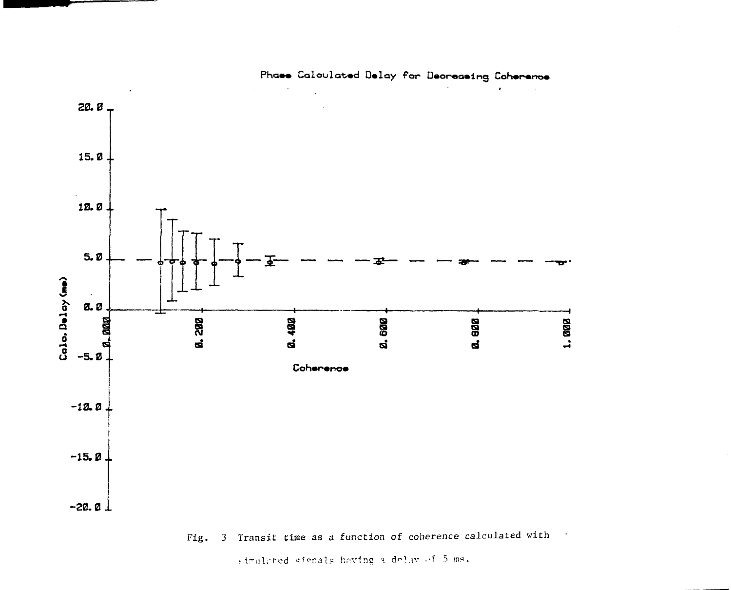

Phase Calculated Delay for Decreasing Coherence

# Fig. 3 Transit time as a function of coherence calculated with

simulated signals having a dolay of 5 ms.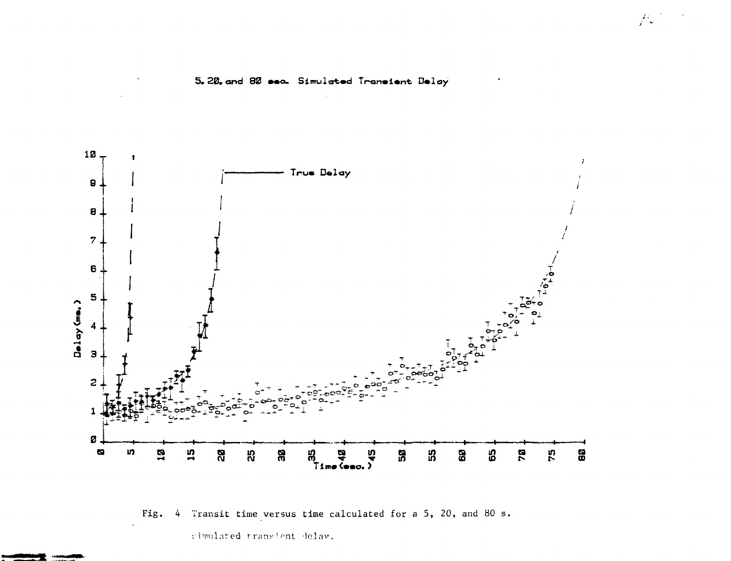

## 5.20. and 80 sec. Simulated Transient Delay

 $\int d\omega$ 

Transit time versus time calculated for a 5, 20, and 80 s. Fig.  $\frac{4}{7}$ 

cimulated transient delay.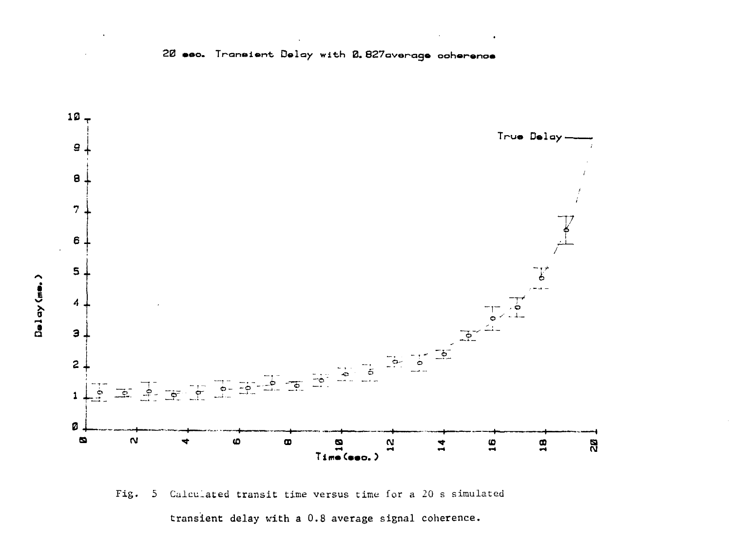



transient delay with a 0.8 average signal coherence.

Delay (me.)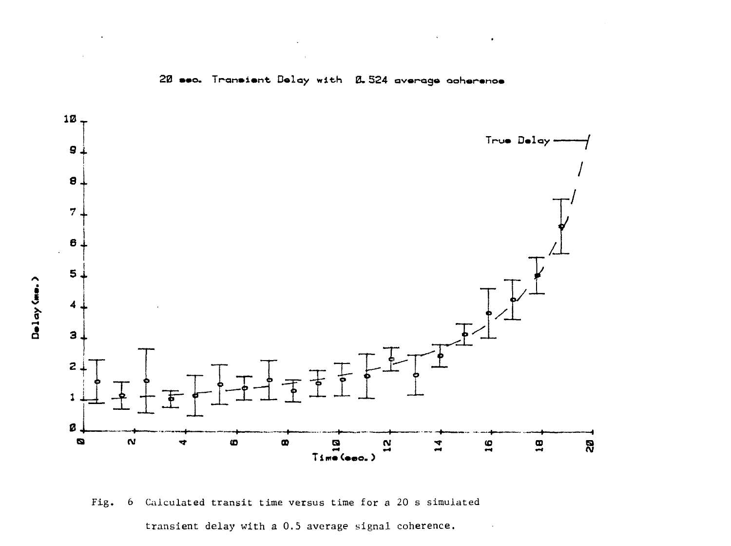



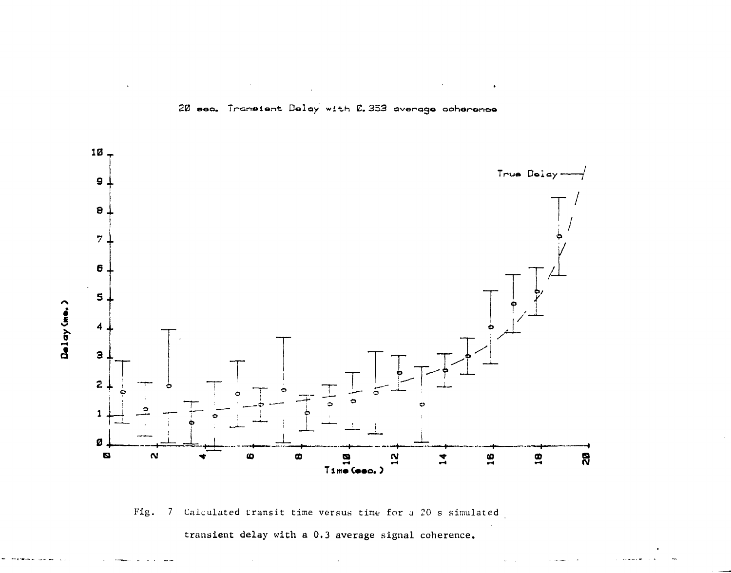

## 20 sec. Transient Delay with 2.353 average coherence

Fig. 7 Calculated transit time versus time for a 20 s simulated

transient delay with a 0.3 average signal coherence.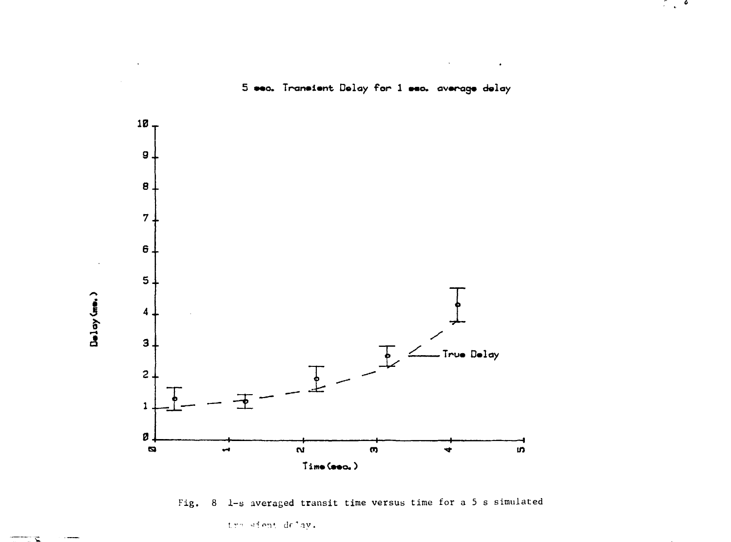

 $\mathcal{L} \in \mathcal{L}$ 

Fig. 8 1-s averaged transit time versus time for a 5 s simulated

tro sient delay.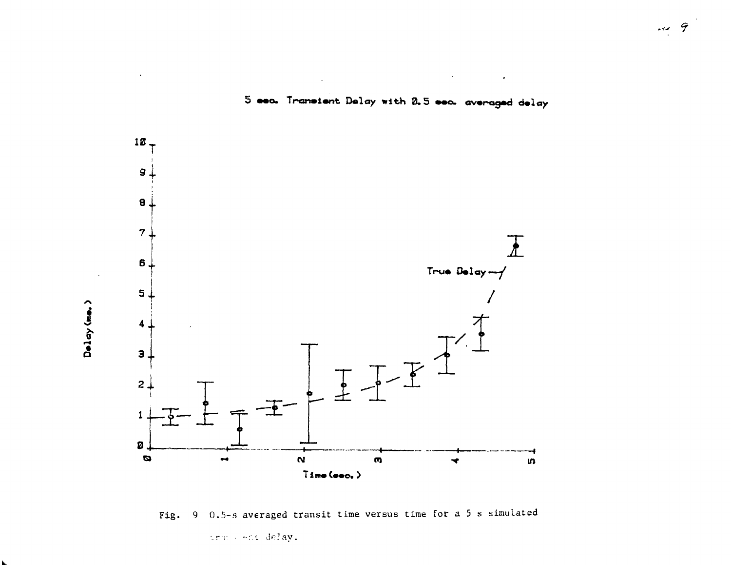

5 sec. Transient Delay with 2.5 sec. averaged delay

 $\bullet$ 

Fig. 9 0.5-s averaged transit time versus time for a 5 s simulated

transfert delay.

Delay (me.)

 $\overline{\mu}$  9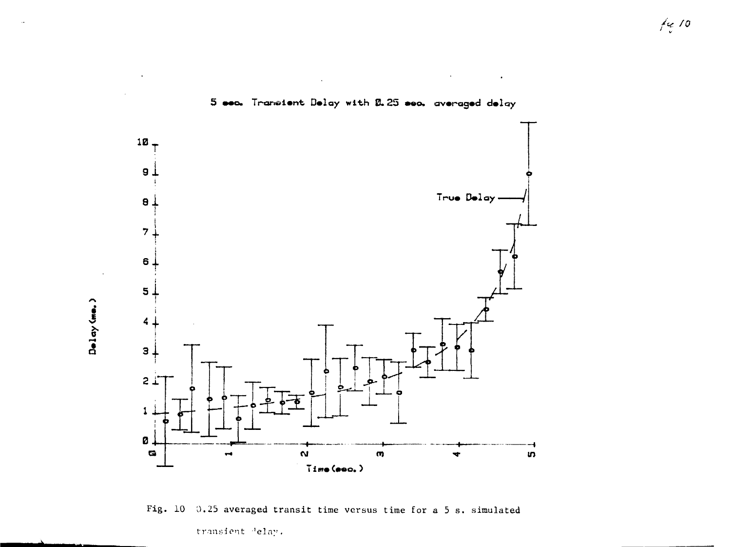

5 sec. Transient Delay with 2.25 sec. averaged delay

Fig. 10 0.25 averaged transit time versus time for a 5 s. simulated transient delay.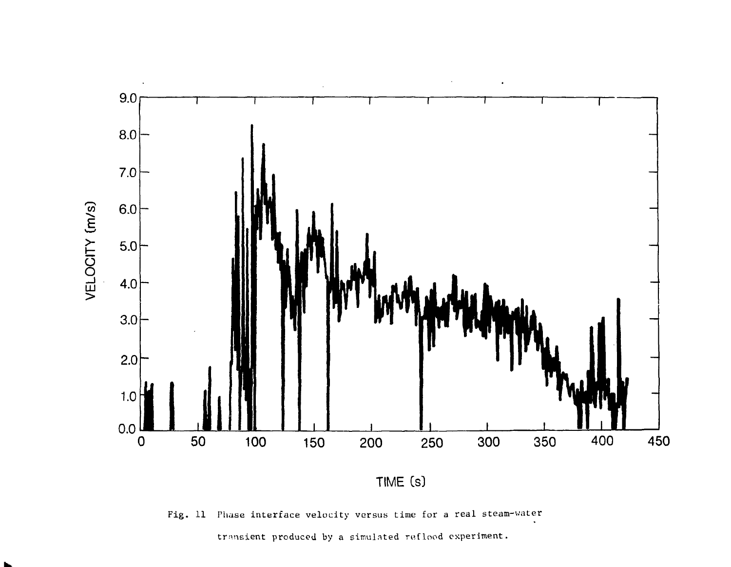

Fig. 11 Phase interface velocity versus time for a real steam-water

transient produced by a simulated reflood experiment.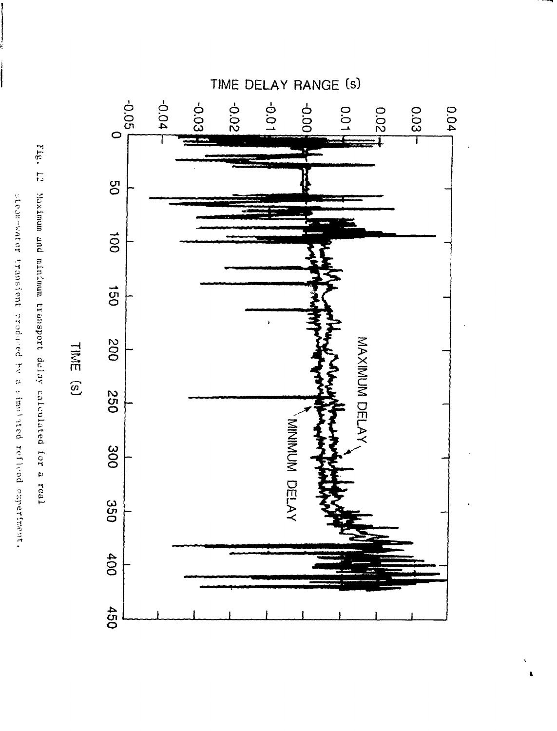



TIME<sup>(S)</sup>

stenwarder transfent produced by a similated reflood experiment